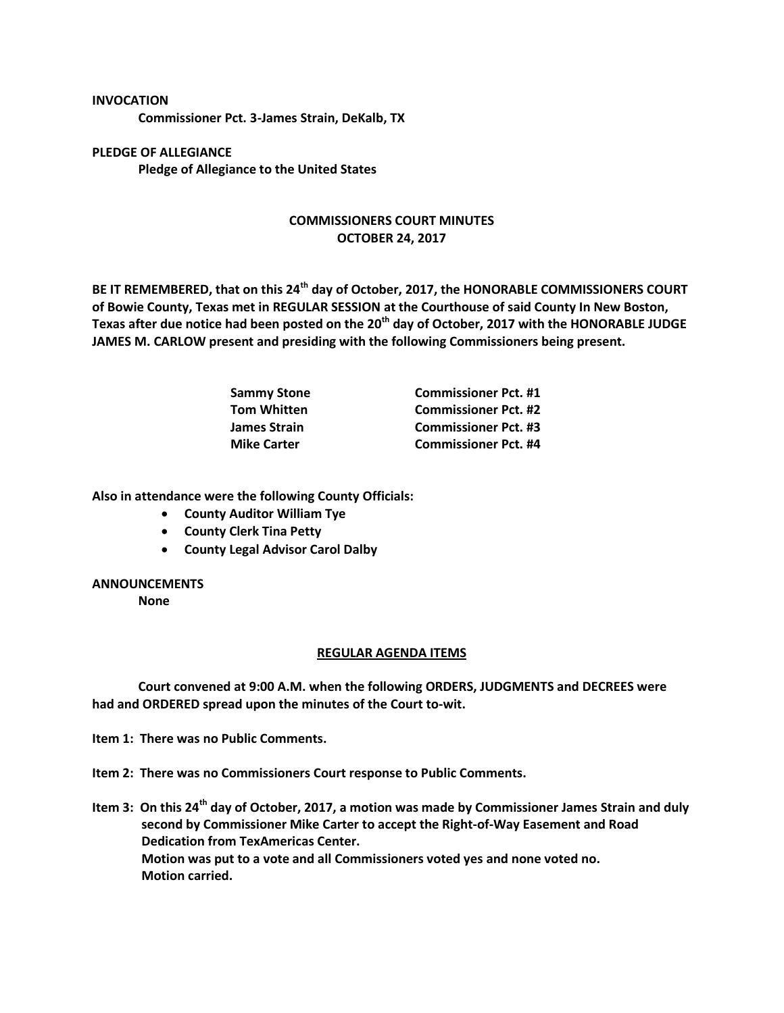## **INVOCATION**

**Commissioner Pct. 3-James Strain, DeKalb, TX**

**PLEDGE OF ALLEGIANCE Pledge of Allegiance to the United States**

## **COMMISSIONERS COURT MINUTES OCTOBER 24, 2017**

**BE IT REMEMBERED, that on this 24th day of October, 2017, the HONORABLE COMMISSIONERS COURT of Bowie County, Texas met in REGULAR SESSION at the Courthouse of said County In New Boston, Texas after due notice had been posted on the 20th day of October, 2017 with the HONORABLE JUDGE JAMES M. CARLOW present and presiding with the following Commissioners being present.**

| <b>Sammy Stone</b>  | <b>Commissioner Pct. #1</b> |
|---------------------|-----------------------------|
| <b>Tom Whitten</b>  | <b>Commissioner Pct. #2</b> |
| <b>James Strain</b> | <b>Commissioner Pct. #3</b> |
| <b>Mike Carter</b>  | <b>Commissioner Pct. #4</b> |

**Also in attendance were the following County Officials:**

- **County Auditor William Tye**
- **County Clerk Tina Petty**
- **County Legal Advisor Carol Dalby**

## **ANNOUNCEMENTS**

**None**

## **REGULAR AGENDA ITEMS**

**Court convened at 9:00 A.M. when the following ORDERS, JUDGMENTS and DECREES were had and ORDERED spread upon the minutes of the Court to-wit.**

**Item 1: There was no Public Comments.**

**Item 2: There was no Commissioners Court response to Public Comments.**

**Item 3: On this 24th day of October, 2017, a motion was made by Commissioner James Strain and duly second by Commissioner Mike Carter to accept the Right-of-Way Easement and Road Dedication from TexAmericas Center. Motion was put to a vote and all Commissioners voted yes and none voted no. Motion carried.**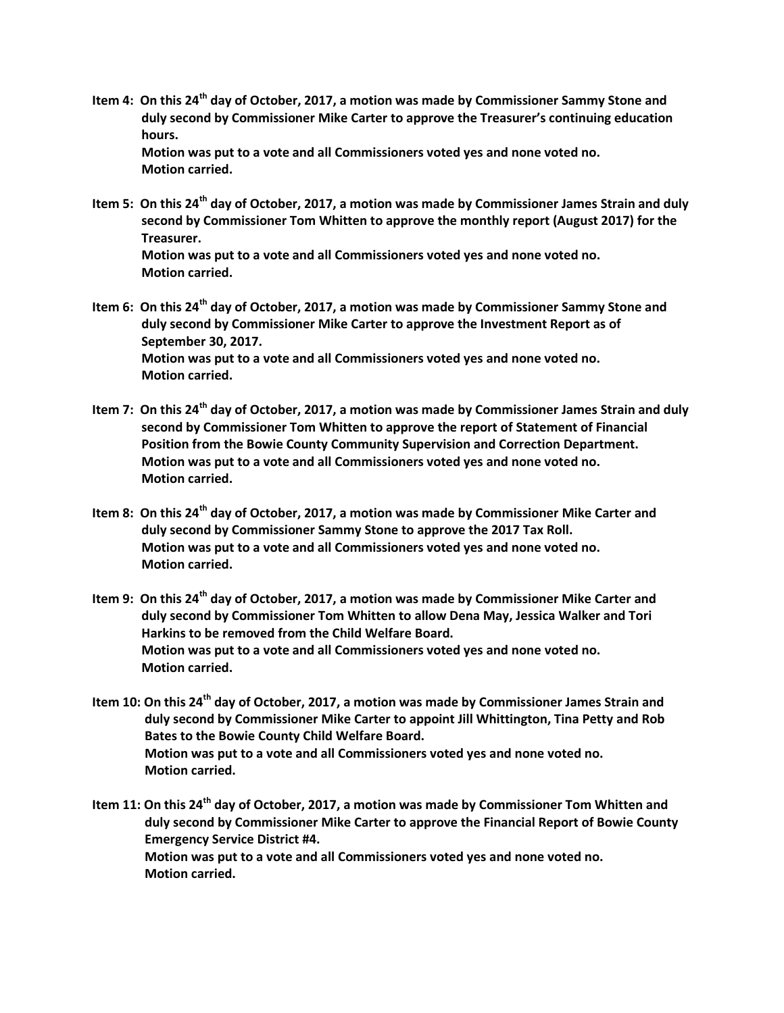**Item 4: On this 24th day of October, 2017, a motion was made by Commissioner Sammy Stone and duly second by Commissioner Mike Carter to approve the Treasurer's continuing education hours.**

**Motion was put to a vote and all Commissioners voted yes and none voted no. Motion carried.**

**Item 5: On this 24th day of October, 2017, a motion was made by Commissioner James Strain and duly second by Commissioner Tom Whitten to approve the monthly report (August 2017) for the Treasurer.**

**Motion was put to a vote and all Commissioners voted yes and none voted no. Motion carried.**

- **Item 6: On this 24th day of October, 2017, a motion was made by Commissioner Sammy Stone and duly second by Commissioner Mike Carter to approve the Investment Report as of September 30, 2017. Motion was put to a vote and all Commissioners voted yes and none voted no. Motion carried.**
- **Item 7: On this 24th day of October, 2017, a motion was made by Commissioner James Strain and duly second by Commissioner Tom Whitten to approve the report of Statement of Financial Position from the Bowie County Community Supervision and Correction Department. Motion was put to a vote and all Commissioners voted yes and none voted no. Motion carried.**
- **Item 8: On this 24th day of October, 2017, a motion was made by Commissioner Mike Carter and duly second by Commissioner Sammy Stone to approve the 2017 Tax Roll. Motion was put to a vote and all Commissioners voted yes and none voted no. Motion carried.**
- **Item 9: On this 24th day of October, 2017, a motion was made by Commissioner Mike Carter and duly second by Commissioner Tom Whitten to allow Dena May, Jessica Walker and Tori Harkins to be removed from the Child Welfare Board. Motion was put to a vote and all Commissioners voted yes and none voted no. Motion carried.**
- **Item 10: On this 24th day of October, 2017, a motion was made by Commissioner James Strain and duly second by Commissioner Mike Carter to appoint Jill Whittington, Tina Petty and Rob Bates to the Bowie County Child Welfare Board. Motion was put to a vote and all Commissioners voted yes and none voted no. Motion carried.**

**Item 11: On this 24th day of October, 2017, a motion was made by Commissioner Tom Whitten and duly second by Commissioner Mike Carter to approve the Financial Report of Bowie County Emergency Service District #4. Motion was put to a vote and all Commissioners voted yes and none voted no. Motion carried.**